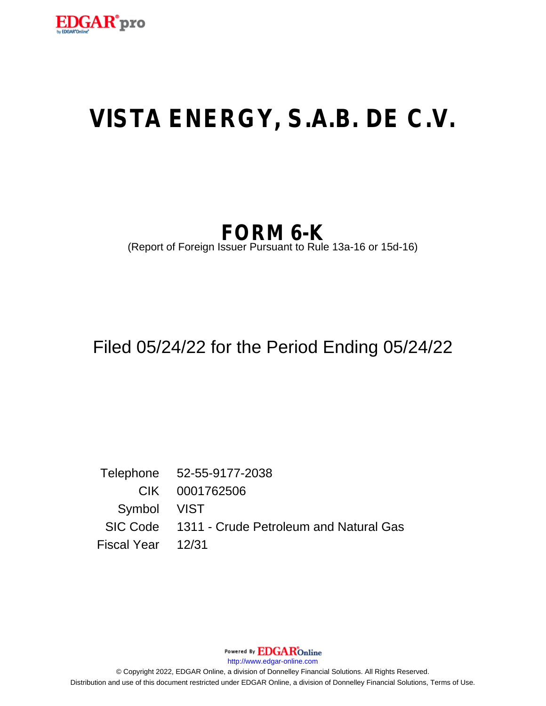

# **VISTA ENERGY, S.A.B. DE C.V.**

# **FORM 6-K**

(Report of Foreign Issuer Pursuant to Rule 13a-16 or 15d-16)

## Filed 05/24/22 for the Period Ending 05/24/22

Telephone 52-55-9177-2038 CIK 0001762506 Symbol VIST SIC Code 1311 - Crude Petroleum and Natural Gas Fiscal Year 12/31

Powered By **EDGAR**Online

http://www.edgar-online.com

© Copyright 2022, EDGAR Online, a division of Donnelley Financial Solutions. All Rights Reserved. Distribution and use of this document restricted under EDGAR Online, a division of Donnelley Financial Solutions, Terms of Use.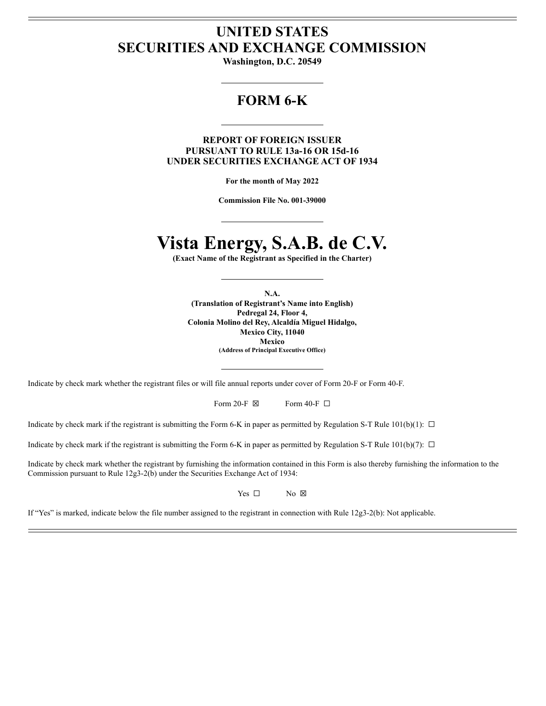## **UNITED STATES SECURITIES AND EXCHANGE COMMISSION**

Washington, D.C. 20549

## **FORM 6-K**

**REPORT OF FOREIGN ISSUER PURSUANT TO RULE 13a-16 OR 15d-16** UNDER SECURITIES EXCHANGE ACT OF 1934

For the month of May 2022

Commission File No. 001-39000

## Vista Energy, S.A.B. de C.V.

(Exact Name of the Registrant as Specified in the Charter)

N.A. (Translation of Registrant's Name into English) Pedregal 24, Floor 4, Colonia Molino del Rey, Alcaldía Miguel Hidalgo, Mexico City, 11040 **Mexico** (Address of Principal Executive Office)

Indicate by check mark whether the registrant files or will file annual reports under cover of Form 20-F or Form 40-F.

| Form 20-F $\boxtimes$ |  | Form 40-F $\Box$ |
|-----------------------|--|------------------|
|-----------------------|--|------------------|

Indicate by check mark if the registrant is submitting the Form 6-K in paper as permitted by Regulation S-T Rule 101(b)(1):  $\Box$ 

Indicate by check mark if the registrant is submitting the Form 6-K in paper as permitted by Regulation S-T Rule 101(b)(7):  $\Box$ 

Indicate by check mark whether the registrant by furnishing the information contained in this Form is also thereby furnishing the information to the Commission pursuant to Rule 12g3-2(b) under the Securities Exchange Act of 1934:

> Yes  $\Box$  $No \tImes$

If "Yes" is marked, indicate below the file number assigned to the registrant in connection with Rule  $12g3-2(b)$ : Not applicable.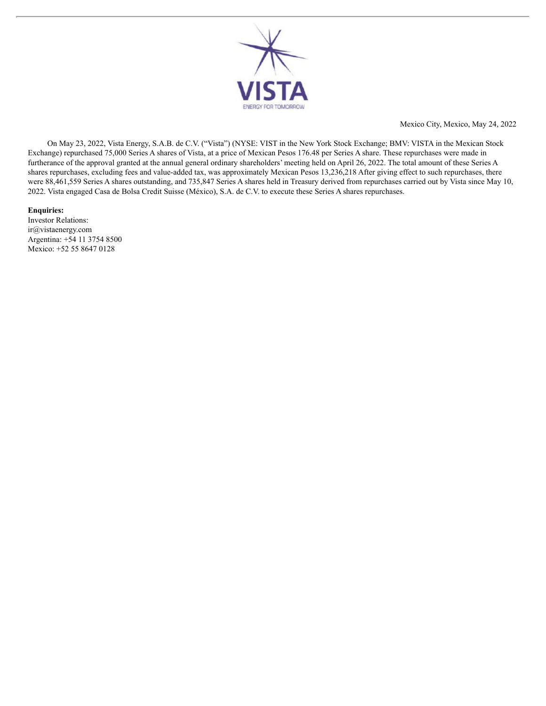

Mexico City, Mexico, May 24, 2022

On May 23, 2022, Vista Energy, S.A.B. de C.V. ("Vista") (NYSE: VIST in the New York Stock Exchange; BMV: VISTA in the Mexican Stock Exchange) repurchased 75,000 Series A shares of Vista, at a price of Mexican Pesos 176.48 per Series A share. These repurchases were made in furtherance of the approval granted at the annual general ordinary shareholders' meeting held on April 26, 2022. The total amount of these Series A shares repurchases, excluding fees and value-added tax, was approximately Mexican Pesos 13,236,218 After giving effect to such repurchases, there were 88,461,559 Series A shares outstanding, and 735,847 Series A shares held in Treasury derived from repurchases carried out by Vista since May 10, 2022. Vista engaged Casa de Bolsa Credit Suisse (México), S.A. de C.V. to execute these Series A shares repurchases.

### **Enquiries:**

Investor Relations: ir@vistaenergy.com Argentina: +54 11 3754 8500 Mexico: +52 55 8647 0128